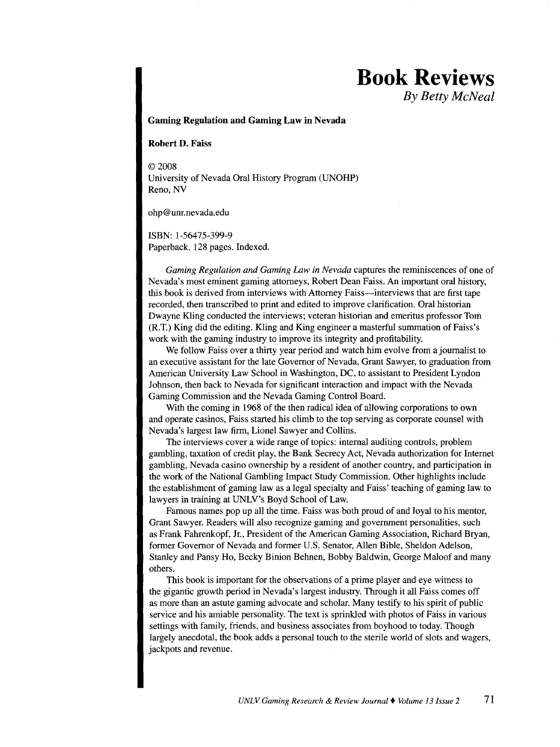## **Book Reviews**

*By Betty McNeal* 

## Gaming Regulation and Gaming Law in Nevada

Robert D. Faiss

©2008 University of Nevada Oral History Program (UNOHP) Reno, NV

ohp@unr.nevada.edu

ISBN: 1-56475-399-9 Paperback. 128 pages. Indexed.

*Gaming Regulation and Gaming Law in Nevada* captures the reminiscences of one of Nevada's most eminent gaming attorneys, Robert Dean Faiss. An important oral history, this book is derived from interviews with Attorney Faiss—interviews that are first tape recorded, then transcribed to print and edited to improve clarification. Oral historian Dwayne Kling conducted the interviews; veteran historian and emeritus professor Tom (R.T.) King did the editing. Kling and King engineer a masterful summation of Faiss's work with the gaming industry to improve its integrity and profitability.

We follow Faiss over a thirty year period and watch him evolve from a journalist to an executive assistant for the late Governor of Nevada, Grant Sawyer, to graduation from American University Law School in Washington, DC, to assistant to President Lyndon Johnson, then back to Nevada for significant interaction and impact with the Nevada Gaming Commission and the Nevada Gaming Control Board.

With the coming in 1968 of the then radical idea of allowing corporations to own and operate casinos, Faiss started his climb to the top serving as corporate counsel with Nevada's largest law firm, Lionel Sawyer and Collins.

The interviews cover a wide range of topics: internal auditing controls, problem gambling, taxation of credit play, the Bank Secrecy Act, Nevada authorization for Internet gambling, Nevada casino ownership by a resident of another country, and participation in the work of the National Gambling Impact Study Commission. Other highlights include the establishment of gaming law as a legal specialty and Faiss' teaching of gaming law to lawyers in training at UNLV's Boyd School of Law.

Famous names pop up all the time. Faiss was both proud of and loyal to his mentor, Grant Sawyer. Readers will also recognize gaming and government personalities, such as Frank Fahrenkopf, Jr., President of the American Gaming Association, Richard Bryan, former Governor of Nevada and former U.S. Senator, Allen Bible, Sheldon Adelson, Stanley and Pansy Ho, Becky Binion Behnen, Bobby Baldwin, George Maloof and many others.

This book is important for the observations of a prime player and eye witness to the gigantic growth period in Nevada's largest industry. Through it all Faiss comes off as more than an astute gaming advocate and scholar. Many testify to his spirit of public service and his amiable personality. The text is sprinkled with photos of Faiss in various settings with family, friends, and business associates from boyhood to today. Though largely anecdotal, the book adds a personal touch to the sterile world of slots and wagers, jackpots and revenue.